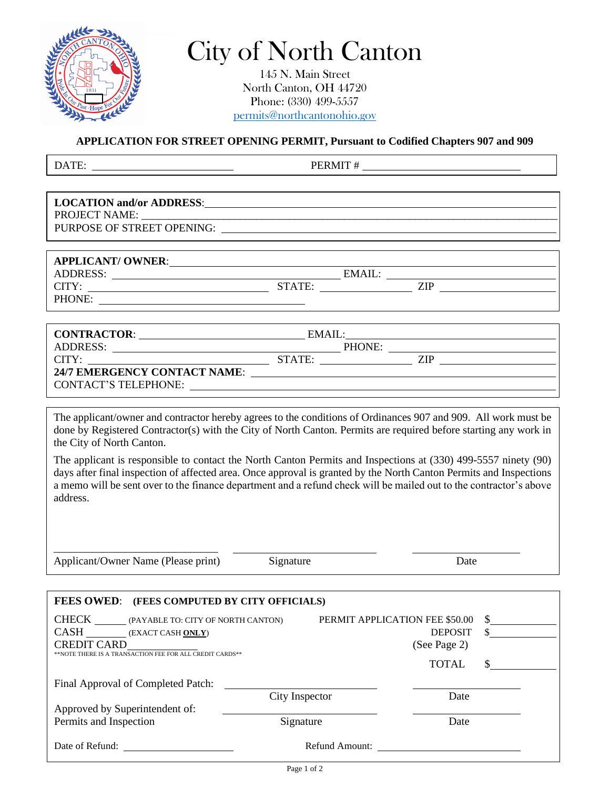

## City of North Canton

145 N. Main Street North Canton, OH 44720 Phone: (330) 499-5557 [permits@northcantonohio.gov](mailto:permits@northcantonohio.gov)

**APPLICATION FOR STREET OPENING PERMIT, Pursuant to Codified Chapters 907 and 909**

DATE: PERMIT #

| LOCATION and/or ADDRESS:<br><u>LOCATION</u> and/or ADDRESS:                        |        |        |                                                                                                                        |
|------------------------------------------------------------------------------------|--------|--------|------------------------------------------------------------------------------------------------------------------------|
|                                                                                    |        |        |                                                                                                                        |
|                                                                                    |        |        |                                                                                                                        |
|                                                                                    |        |        |                                                                                                                        |
|                                                                                    |        |        |                                                                                                                        |
| APPLICANT/ OWNER:                                                                  |        |        |                                                                                                                        |
|                                                                                    |        | EMAIL: | <u> Alexandria de la contentación de la contentación de la contentación de la contentación de la contentación de</u>   |
|                                                                                    | STATE: |        | ZIP                                                                                                                    |
| PHONE:                                                                             |        |        |                                                                                                                        |
|                                                                                    |        |        |                                                                                                                        |
|                                                                                    |        |        |                                                                                                                        |
| CONTRACTOR:                                                                        | EMAIL: |        | <u> 1989 - Johann Stein, fransk kampens og det forskellige og det forskellige og det forskellige og det forskellig</u> |
| <b>ADDRESS:</b><br><u> 1980 - Johann Barn, fransk politik amerikansk politik (</u> |        |        | PHONE:                                                                                                                 |
| CITY:                                                                              | STATE: |        | <b>ZIP</b>                                                                                                             |
|                                                                                    |        |        |                                                                                                                        |

**24/7 EMERGENCY CONTACT NAME**: CONTACT'S TELEPHONE:

The applicant/owner and contractor hereby agrees to the conditions of Ordinances 907 and 909. All work must be done by Registered Contractor(s) with the City of North Canton. Permits are required before starting any work in the City of North Canton.

The applicant is responsible to contact the North Canton Permits and Inspections at (330) 499-5557 ninety (90) days after final inspection of affected area. Once approval is granted by the North Canton Permits and Inspections a memo will be sent over to the finance department and a refund check will be mailed out to the contractor's above address.

\_\_\_\_\_\_\_\_\_\_\_\_\_\_\_\_\_\_\_\_\_\_\_\_\_\_\_\_\_\_ Applicant/Owner Name (Please print) Signature Date

|                                                                                | FEES OWED: (FEES COMPUTED BY CITY OFFICIALS) |                |                                |                |   |
|--------------------------------------------------------------------------------|----------------------------------------------|----------------|--------------------------------|----------------|---|
|                                                                                | CHECK (PAYABLE TO: CITY OF NORTH CANTON)     |                | PERMIT APPLICATION FEE \$50.00 |                | S |
|                                                                                | CASH (EXACT CASH ONLY)                       |                |                                | <b>DEPOSIT</b> |   |
| <b>CREDIT CARD</b><br>**NOTE THERE IS A TRANSACTION FEE FOR ALL CREDIT CARDS** |                                              |                |                                | (See Page 2)   |   |
|                                                                                |                                              |                |                                | TOTAL          |   |
|                                                                                | Final Approval of Completed Patch:           |                |                                |                |   |
|                                                                                |                                              | City Inspector |                                | Date           |   |
| Approved by Superintendent of:                                                 |                                              |                |                                |                |   |
| Permits and Inspection                                                         |                                              | Signature      |                                | Date           |   |
| Date of Refund:                                                                |                                              |                | Refund Amount:                 |                |   |